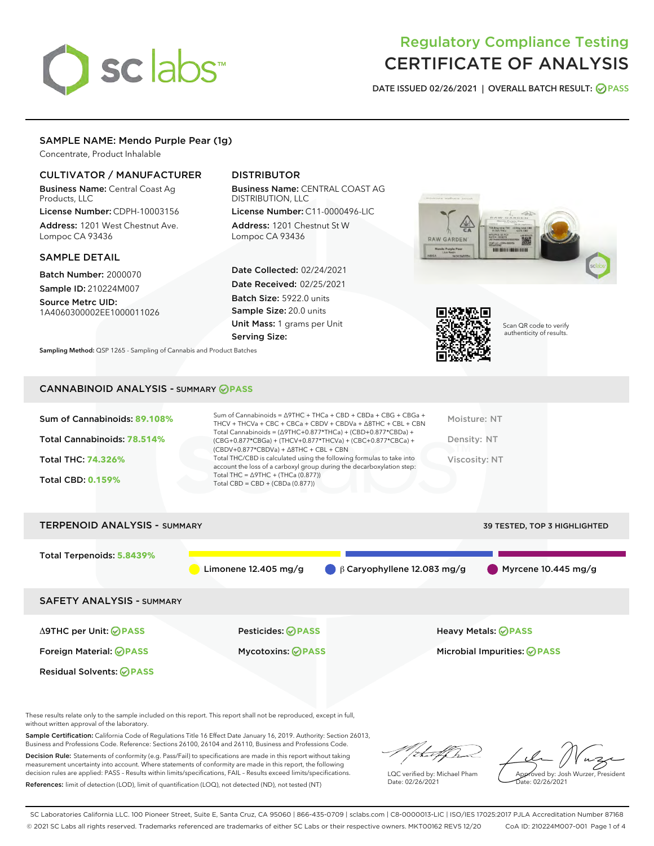# sclabs<sup>\*</sup>

## Regulatory Compliance Testing CERTIFICATE OF ANALYSIS

DATE ISSUED 02/26/2021 | OVERALL BATCH RESULT: @ PASS

#### SAMPLE NAME: Mendo Purple Pear (1g)

Concentrate, Product Inhalable

#### CULTIVATOR / MANUFACTURER

Business Name: Central Coast Ag Products, LLC

License Number: CDPH-10003156 Address: 1201 West Chestnut Ave. Lompoc CA 93436

#### SAMPLE DETAIL

Batch Number: 2000070 Sample ID: 210224M007

Source Metrc UID: 1A4060300002EE1000011026

#### DISTRIBUTOR

Business Name: CENTRAL COAST AG DISTRIBUTION, LLC

License Number: C11-0000496-LIC Address: 1201 Chestnut St W Lompoc CA 93436

Date Collected: 02/24/2021 Date Received: 02/25/2021 Batch Size: 5922.0 units Sample Size: 20.0 units Unit Mass: 1 grams per Unit Serving Size:





Scan QR code to verify authenticity of results.

Sampling Method: QSP 1265 - Sampling of Cannabis and Product Batches

### CANNABINOID ANALYSIS - SUMMARY **PASS**

| Sum of Cannabinoids: 89.108% | Sum of Cannabinoids = $\triangle$ 9THC + THCa + CBD + CBDa + CBG + CBGa +<br>THCV + THCVa + CBC + CBCa + CBDV + CBDVa + $\Delta$ 8THC + CBL + CBN                                    | Moisture: NT  |
|------------------------------|--------------------------------------------------------------------------------------------------------------------------------------------------------------------------------------|---------------|
| Total Cannabinoids: 78.514%  | Total Cannabinoids = $(\Delta$ 9THC+0.877*THCa) + (CBD+0.877*CBDa) +<br>(CBG+0.877*CBGa) + (THCV+0.877*THCVa) + (CBC+0.877*CBCa) +<br>$(CBDV+0.877*CBDVa) + \Delta 8THC + CBL + CBN$ | Density: NT   |
| <b>Total THC: 74.326%</b>    | Total THC/CBD is calculated using the following formulas to take into<br>account the loss of a carboxyl group during the decarboxylation step:                                       | Viscosity: NT |
| <b>Total CBD: 0.159%</b>     | Total THC = $\triangle$ 9THC + (THCa (0.877))<br>Total CBD = CBD + (CBDa $(0.877)$ )                                                                                                 |               |
|                              |                                                                                                                                                                                      |               |

| <b>TERPENOID ANALYSIS - SUMMARY</b> |                           |                                              | 39 TESTED, TOP 3 HIGHLIGHTED |
|-------------------------------------|---------------------------|----------------------------------------------|------------------------------|
| Total Terpenoids: 5.8439%           | Limonene $12.405$ mg/g    | $\bigcirc$ $\beta$ Caryophyllene 12.083 mg/g | Myrcene $10.445$ mg/g        |
| <b>SAFETY ANALYSIS - SUMMARY</b>    |                           |                                              |                              |
| ∆9THC per Unit: ⊘PASS               | Pesticides: <b>⊘</b> PASS |                                              | <b>Heavy Metals: ⊘ PASS</b>  |
| Foreign Material: <b>⊘PASS</b>      | <b>Mycotoxins: ⊘PASS</b>  |                                              | Microbial Impurities: @PASS  |
| <b>Residual Solvents: ⊘PASS</b>     |                           |                                              |                              |

These results relate only to the sample included on this report. This report shall not be reproduced, except in full, without written approval of the laboratory.

Sample Certification: California Code of Regulations Title 16 Effect Date January 16, 2019. Authority: Section 26013, Business and Professions Code. Reference: Sections 26100, 26104 and 26110, Business and Professions Code.

Decision Rule: Statements of conformity (e.g. Pass/Fail) to specifications are made in this report without taking measurement uncertainty into account. Where statements of conformity are made in this report, the following decision rules are applied: PASS – Results within limits/specifications, FAIL – Results exceed limits/specifications. References: limit of detection (LOD), limit of quantification (LOQ), not detected (ND), not tested (NT)

/ib...tf/h

LQC verified by: Michael Pham Date: 02/26/2021

Approved by: Josh Wurzer, President Date: 02/26/2021

SC Laboratories California LLC. 100 Pioneer Street, Suite E, Santa Cruz, CA 95060 | 866-435-0709 | sclabs.com | C8-0000013-LIC | ISO/IES 17025:2017 PJLA Accreditation Number 87168 © 2021 SC Labs all rights reserved. Trademarks referenced are trademarks of either SC Labs or their respective owners. MKT00162 REV5 12/20 CoA ID: 210224M007-001 Page 1 of 4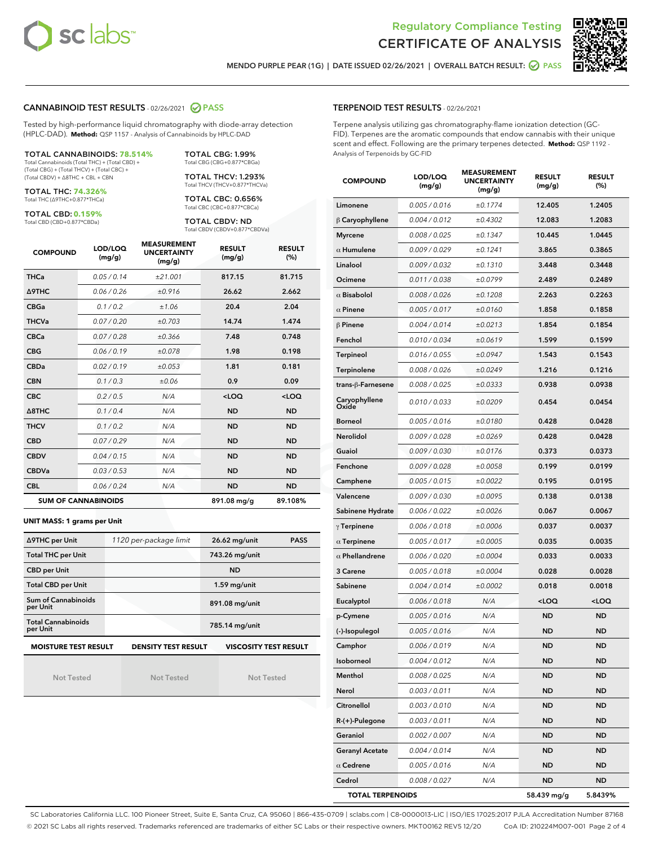



MENDO PURPLE PEAR (1G) | DATE ISSUED 02/26/2021 | OVERALL BATCH RESULT: @ PASS

#### CANNABINOID TEST RESULTS - 02/26/2021 2 PASS

Tested by high-performance liquid chromatography with diode-array detection (HPLC-DAD). **Method:** QSP 1157 - Analysis of Cannabinoids by HPLC-DAD

#### TOTAL CANNABINOIDS: **78.514%**

Total Cannabinoids (Total THC) + (Total CBD) + (Total CBG) + (Total THCV) + (Total CBC) + (Total CBDV) + ∆8THC + CBL + CBN

TOTAL THC: **74.326%** Total THC (∆9THC+0.877\*THCa)

TOTAL CBD: **0.159%**

Total CBD (CBD+0.877\*CBDa)

Total CBG (CBG+0.877\*CBGa) TOTAL THCV: 1.293% Total THCV (THCV+0.877\*THCVa)

TOTAL CBG: 1.99%

TOTAL CBC: 0.656% Total CBC (CBC+0.877\*CBCa)

TOTAL CBDV: ND Total CBDV (CBDV+0.877\*CBDVa)

| <b>COMPOUND</b> | LOD/LOQ<br>(mg/g)          | <b>MEASUREMENT</b><br><b>UNCERTAINTY</b><br>(mg/g) | <b>RESULT</b><br>(mg/g) | <b>RESULT</b><br>(%) |
|-----------------|----------------------------|----------------------------------------------------|-------------------------|----------------------|
| <b>THCa</b>     | 0.05/0.14                  | ±21.001                                            | 817.15                  | 81.715               |
| <b>A9THC</b>    | 0.06 / 0.26                | ±0.916                                             | 26.62                   | 2.662                |
| <b>CBGa</b>     | 0.1 / 0.2                  | ±1.06                                              | 20.4                    | 2.04                 |
| <b>THCVa</b>    | 0.07/0.20                  | ±0.703                                             | 14.74                   | 1.474                |
| <b>CBCa</b>     | 0.07/0.28                  | ±0.366                                             | 7.48                    | 0.748                |
| <b>CBG</b>      | 0.06/0.19                  | ±0.078                                             | 1.98                    | 0.198                |
| <b>CBDa</b>     | 0.02/0.19                  | ±0.053                                             | 1.81                    | 0.181                |
| <b>CBN</b>      | 0.1/0.3                    | ±0.06                                              | 0.9                     | 0.09                 |
| <b>CBC</b>      | 0.2 / 0.5                  | N/A                                                | $<$ LOQ                 | $<$ LOQ              |
| Δ8THC           | 0.1/0.4                    | N/A                                                | <b>ND</b>               | <b>ND</b>            |
| <b>THCV</b>     | 0.1/0.2                    | N/A                                                | <b>ND</b>               | <b>ND</b>            |
| <b>CBD</b>      | 0.07/0.29                  | N/A                                                | <b>ND</b>               | <b>ND</b>            |
| <b>CBDV</b>     | 0.04 / 0.15                | N/A                                                | <b>ND</b>               | <b>ND</b>            |
| <b>CBDVa</b>    | 0.03/0.53                  | N/A                                                | <b>ND</b>               | <b>ND</b>            |
| <b>CBL</b>      | 0.06 / 0.24                | N/A                                                | <b>ND</b>               | <b>ND</b>            |
|                 | <b>SUM OF CANNABINOIDS</b> |                                                    | 891.08 mg/g             | 89.108%              |

#### **UNIT MASS: 1 grams per Unit**

| ∆9THC per Unit                        | 1120 per-package limit     | 26.62 mg/unit                | <b>PASS</b> |
|---------------------------------------|----------------------------|------------------------------|-------------|
| <b>Total THC per Unit</b>             |                            | 743.26 mg/unit               |             |
| <b>CBD per Unit</b>                   |                            | <b>ND</b>                    |             |
| <b>Total CBD per Unit</b>             |                            | $1.59$ mg/unit               |             |
| Sum of Cannabinoids<br>per Unit       |                            | 891.08 mg/unit               |             |
| <b>Total Cannabinoids</b><br>per Unit |                            | 785.14 mg/unit               |             |
| <b>MOISTURE TEST RESULT</b>           | <b>DENSITY TEST RESULT</b> | <b>VISCOSITY TEST RESULT</b> |             |

Not Tested

Not Tested

Not Tested

#### TERPENOID TEST RESULTS - 02/26/2021

Terpene analysis utilizing gas chromatography-flame ionization detection (GC-FID). Terpenes are the aromatic compounds that endow cannabis with their unique scent and effect. Following are the primary terpenes detected. **Method:** QSP 1192 - Analysis of Terpenoids by GC-FID

| <b>COMPOUND</b>         | LOD/LOQ<br>(mg/g) | <b>MEASUREMENT</b><br><b>UNCERTAINTY</b><br>(mg/g) | <b>RESULT</b><br>(mg/g)                         | <b>RESULT</b><br>$(\%)$ |
|-------------------------|-------------------|----------------------------------------------------|-------------------------------------------------|-------------------------|
| Limonene                | 0.005 / 0.016     | ±0.1774                                            | 12.405                                          | 1.2405                  |
| $\upbeta$ Caryophyllene | 0.004 / 0.012     | ±0.4302                                            | 12.083                                          | 1.2083                  |
| <b>Myrcene</b>          | 0.008 / 0.025     | ±0.1347                                            | 10.445                                          | 1.0445                  |
| $\alpha$ Humulene       | 0.009 / 0.029     | ±0.1241                                            | 3.865                                           | 0.3865                  |
| Linalool                | 0.009 / 0.032     | ±0.1310                                            | 3.448                                           | 0.3448                  |
| Ocimene                 | 0.011/0.038       | ±0.0799                                            | 2.489                                           | 0.2489                  |
| $\alpha$ Bisabolol      | 0.008 / 0.026     | ±0.1208                                            | 2.263                                           | 0.2263                  |
| $\alpha$ Pinene         | 0.005 / 0.017     | ±0.0160                                            | 1.858                                           | 0.1858                  |
| $\beta$ Pinene          | 0.004 / 0.014     | ±0.0213                                            | 1.854                                           | 0.1854                  |
| Fenchol                 | 0.010 / 0.034     | ±0.0619                                            | 1.599                                           | 0.1599                  |
| Terpineol               | 0.016 / 0.055     | ±0.0947                                            | 1.543                                           | 0.1543                  |
| Terpinolene             | 0.008 / 0.026     | ±0.0249                                            | 1.216                                           | 0.1216                  |
| trans-ß-Farnesene       | 0.008 / 0.025     | ±0.0333                                            | 0.938                                           | 0.0938                  |
| Caryophyllene<br>Oxide  | 0.010 / 0.033     | ±0.0209                                            | 0.454                                           | 0.0454                  |
| <b>Borneol</b>          | 0.005 / 0.016     | ±0.0180                                            | 0.428                                           | 0.0428                  |
| Nerolidol               | 0.009 / 0.028     | ±0.0269                                            | 0.428                                           | 0.0428                  |
| Guaiol                  | 0.009 / 0.030     | ±0.0176                                            | 0.373                                           | 0.0373                  |
| Fenchone                | 0.009 / 0.028     | ±0.0058                                            | 0.199                                           | 0.0199                  |
| Camphene                | 0.005 / 0.015     | ±0.0022                                            | 0.195                                           | 0.0195                  |
| Valencene               | 0.009 / 0.030     | ±0.0095                                            | 0.138                                           | 0.0138                  |
| Sabinene Hydrate        | 0.006 / 0.022     | ±0.0026                                            | 0.067                                           | 0.0067                  |
| $\gamma$ Terpinene      | 0.006 / 0.018     | ±0.0006                                            | 0.037                                           | 0.0037                  |
| $\alpha$ Terpinene      | 0.005 / 0.017     | ±0.0005                                            | 0.035                                           | 0.0035                  |
| $\alpha$ Phellandrene   | 0.006 / 0.020     | ±0.0004                                            | 0.033                                           | 0.0033                  |
| 3 Carene                | 0.005 / 0.018     | ±0.0004                                            | 0.028                                           | 0.0028                  |
| Sabinene                | 0.004 / 0.014     | ±0.0002                                            | 0.018                                           | 0.0018                  |
| Eucalyptol              | 0.006 / 0.018     | N/A                                                | <loq< th=""><th><loq< th=""></loq<></th></loq<> | <loq< th=""></loq<>     |
| p-Cymene                | 0.005 / 0.016     | N/A                                                | <b>ND</b>                                       | ND                      |
| (-)-Isopulegol          | 0.005 / 0.016     | N/A                                                | <b>ND</b>                                       | <b>ND</b>               |
| Camphor                 | 0.006 / 0.019     | N/A                                                | <b>ND</b>                                       | <b>ND</b>               |
| Isoborneol              | 0.004 / 0.012     | N/A                                                | ND                                              | ND                      |
| Menthol                 | 0.008 / 0.025     | N/A                                                | ND                                              | ND                      |
| Nerol                   | 0.003 / 0.011     | N/A                                                | ND                                              | ND                      |
| Citronellol             | 0.003 / 0.010     | N/A                                                | ND                                              | ND                      |
| R-(+)-Pulegone          | 0.003 / 0.011     | N/A                                                | ND                                              | ND                      |
| Geraniol                | 0.002 / 0.007     | N/A                                                | ND                                              | ND                      |
| <b>Geranyl Acetate</b>  | 0.004 / 0.014     | N/A                                                | ND                                              | ND                      |
| $\alpha$ Cedrene        | 0.005 / 0.016     | N/A                                                | <b>ND</b>                                       | ND                      |
| Cedrol                  | 0.008 / 0.027     | N/A                                                | ND                                              | ND                      |
| <b>TOTAL TERPENOIDS</b> |                   |                                                    | 58.439 mg/g                                     | 5.8439%                 |

SC Laboratories California LLC. 100 Pioneer Street, Suite E, Santa Cruz, CA 95060 | 866-435-0709 | sclabs.com | C8-0000013-LIC | ISO/IES 17025:2017 PJLA Accreditation Number 87168 © 2021 SC Labs all rights reserved. Trademarks referenced are trademarks of either SC Labs or their respective owners. MKT00162 REV5 12/20 CoA ID: 210224M007-001 Page 2 of 4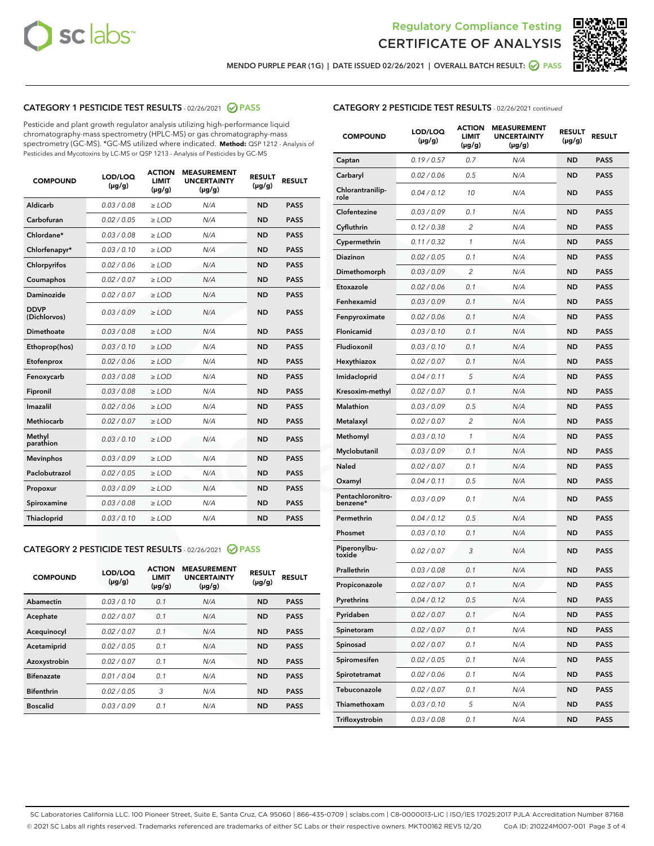



MENDO PURPLE PEAR (1G) | DATE ISSUED 02/26/2021 | OVERALL BATCH RESULT: <mark>⊘</mark> PASS

#### CATEGORY 1 PESTICIDE TEST RESULTS - 02/26/2021 2 PASS

Pesticide and plant growth regulator analysis utilizing high-performance liquid chromatography-mass spectrometry (HPLC-MS) or gas chromatography-mass spectrometry (GC-MS). \*GC-MS utilized where indicated. **Method:** QSP 1212 - Analysis of Pesticides and Mycotoxins by LC-MS or QSP 1213 - Analysis of Pesticides by GC-MS

| <b>COMPOUND</b>             | LOD/LOQ<br>$(\mu g/g)$ | <b>ACTION</b><br><b>LIMIT</b><br>$(\mu q/q)$ | <b>MEASUREMENT</b><br><b>UNCERTAINTY</b><br>$(\mu g/g)$ | <b>RESULT</b><br>$(\mu g/g)$ | <b>RESULT</b> |
|-----------------------------|------------------------|----------------------------------------------|---------------------------------------------------------|------------------------------|---------------|
| Aldicarb                    | 0.03 / 0.08            | $\ge$ LOD                                    | N/A                                                     | <b>ND</b>                    | <b>PASS</b>   |
| Carbofuran                  | 0.02/0.05              | $>$ LOD                                      | N/A                                                     | <b>ND</b>                    | <b>PASS</b>   |
| Chlordane*                  | 0.03 / 0.08            | $\ge$ LOD                                    | N/A                                                     | <b>ND</b>                    | <b>PASS</b>   |
| Chlorfenapyr*               | 0.03/0.10              | $\ge$ LOD                                    | N/A                                                     | <b>ND</b>                    | <b>PASS</b>   |
| Chlorpyrifos                | 0.02 / 0.06            | $\ge$ LOD                                    | N/A                                                     | <b>ND</b>                    | <b>PASS</b>   |
| Coumaphos                   | 0.02 / 0.07            | $>$ LOD                                      | N/A                                                     | <b>ND</b>                    | <b>PASS</b>   |
| <b>Daminozide</b>           | 0.02 / 0.07            | $\ge$ LOD                                    | N/A                                                     | <b>ND</b>                    | <b>PASS</b>   |
| <b>DDVP</b><br>(Dichlorvos) | 0.03/0.09              | $\ge$ LOD                                    | N/A                                                     | <b>ND</b>                    | <b>PASS</b>   |
| <b>Dimethoate</b>           | 0.03 / 0.08            | $\ge$ LOD                                    | N/A                                                     | <b>ND</b>                    | <b>PASS</b>   |
| Ethoprop(hos)               | 0.03/0.10              | $\ge$ LOD                                    | N/A                                                     | <b>ND</b>                    | <b>PASS</b>   |
| Etofenprox                  | 0.02 / 0.06            | $\ge$ LOD                                    | N/A                                                     | <b>ND</b>                    | <b>PASS</b>   |
| Fenoxycarb                  | 0.03 / 0.08            | $\ge$ LOD                                    | N/A                                                     | <b>ND</b>                    | <b>PASS</b>   |
| Fipronil                    | 0.03/0.08              | $>$ LOD                                      | N/A                                                     | <b>ND</b>                    | <b>PASS</b>   |
| Imazalil                    | 0.02 / 0.06            | $\ge$ LOD                                    | N/A                                                     | <b>ND</b>                    | <b>PASS</b>   |
| Methiocarb                  | 0.02 / 0.07            | $\ge$ LOD                                    | N/A                                                     | <b>ND</b>                    | <b>PASS</b>   |
| Methyl<br>parathion         | 0.03/0.10              | $>$ LOD                                      | N/A                                                     | <b>ND</b>                    | <b>PASS</b>   |
| <b>Mevinphos</b>            | 0.03/0.09              | $>$ LOD                                      | N/A                                                     | <b>ND</b>                    | <b>PASS</b>   |
| Paclobutrazol               | 0.02 / 0.05            | $\ge$ LOD                                    | N/A                                                     | <b>ND</b>                    | <b>PASS</b>   |
| Propoxur                    | 0.03/0.09              | $\ge$ LOD                                    | N/A                                                     | <b>ND</b>                    | <b>PASS</b>   |
| Spiroxamine                 | 0.03 / 0.08            | $\ge$ LOD                                    | N/A                                                     | <b>ND</b>                    | <b>PASS</b>   |
| <b>Thiacloprid</b>          | 0.03/0.10              | $\ge$ LOD                                    | N/A                                                     | <b>ND</b>                    | <b>PASS</b>   |

#### CATEGORY 2 PESTICIDE TEST RESULTS - 02/26/2021 @ PASS

| <b>COMPOUND</b>   | LOD/LOQ<br>$(\mu g/g)$ | <b>ACTION</b><br><b>LIMIT</b><br>$(\mu g/g)$ | <b>MEASUREMENT</b><br><b>UNCERTAINTY</b><br>$(\mu g/g)$ | <b>RESULT</b><br>$(\mu g/g)$ | <b>RESULT</b> |
|-------------------|------------------------|----------------------------------------------|---------------------------------------------------------|------------------------------|---------------|
| Abamectin         | 0.03/0.10              | 0.1                                          | N/A                                                     | <b>ND</b>                    | <b>PASS</b>   |
| Acephate          | 0.02/0.07              | 0.1                                          | N/A                                                     | <b>ND</b>                    | <b>PASS</b>   |
| Acequinocyl       | 0.02/0.07              | 0.1                                          | N/A                                                     | <b>ND</b>                    | <b>PASS</b>   |
| Acetamiprid       | 0.02/0.05              | 0.1                                          | N/A                                                     | <b>ND</b>                    | <b>PASS</b>   |
| Azoxystrobin      | 0.02/0.07              | 0.1                                          | N/A                                                     | <b>ND</b>                    | <b>PASS</b>   |
| <b>Bifenazate</b> | 0.01/0.04              | 0.1                                          | N/A                                                     | <b>ND</b>                    | <b>PASS</b>   |
| <b>Bifenthrin</b> | 0.02/0.05              | 3                                            | N/A                                                     | <b>ND</b>                    | <b>PASS</b>   |
| <b>Boscalid</b>   | 0.03/0.09              | 0.1                                          | N/A                                                     | <b>ND</b>                    | <b>PASS</b>   |

| <b>CATEGORY 2 PESTICIDE TEST RESULTS</b> - 02/26/2021 continued |
|-----------------------------------------------------------------|
|-----------------------------------------------------------------|

| <b>COMPOUND</b>               | <b>LOD/LOQ</b><br>$(\mu g/g)$ | <b>ACTION</b><br><b>LIMIT</b><br>(µg/g) | <b>MEASUREMENT</b><br><b>UNCERTAINTY</b><br>(µg/g) | <b>RESULT</b><br>(µg/g) | <b>RESULT</b> |
|-------------------------------|-------------------------------|-----------------------------------------|----------------------------------------------------|-------------------------|---------------|
| Captan                        | 0.19/0.57                     | 0.7                                     | N/A                                                | ND                      | <b>PASS</b>   |
| Carbaryl                      | 0.02 / 0.06                   | 0.5                                     | N/A                                                | ND                      | <b>PASS</b>   |
| Chlorantranilip-<br>role      | 0.04 / 0.12                   | 10                                      | N/A                                                | ND                      | <b>PASS</b>   |
| Clofentezine                  | 0.03/0.09                     | 0.1                                     | N/A                                                | <b>ND</b>               | <b>PASS</b>   |
| Cyfluthrin                    | 0.12 / 0.38                   | 2                                       | N/A                                                | ND                      | <b>PASS</b>   |
| Cypermethrin                  | 0.11 / 0.32                   | $\mathbf{1}$                            | N/A                                                | ND                      | <b>PASS</b>   |
| <b>Diazinon</b>               | 0.02 / 0.05                   | 0.1                                     | N/A                                                | ND                      | <b>PASS</b>   |
| Dimethomorph                  | 0.03 / 0.09                   | 2                                       | N/A                                                | ND                      | <b>PASS</b>   |
| Etoxazole                     | 0.02 / 0.06                   | 0.1                                     | N/A                                                | ND                      | <b>PASS</b>   |
| Fenhexamid                    | 0.03 / 0.09                   | 0.1                                     | N/A                                                | ND                      | <b>PASS</b>   |
| Fenpyroximate                 | 0.02 / 0.06                   | 0.1                                     | N/A                                                | ND                      | <b>PASS</b>   |
| Flonicamid                    | 0.03 / 0.10                   | 0.1                                     | N/A                                                | ND                      | <b>PASS</b>   |
| Fludioxonil                   | 0.03/0.10                     | 0.1                                     | N/A                                                | ND                      | <b>PASS</b>   |
| Hexythiazox                   | 0.02 / 0.07                   | 0.1                                     | N/A                                                | ND                      | <b>PASS</b>   |
| Imidacloprid                  | 0.04 / 0.11                   | 5                                       | N/A                                                | ND                      | <b>PASS</b>   |
| Kresoxim-methyl               | 0.02 / 0.07                   | 0.1                                     | N/A                                                | ND                      | <b>PASS</b>   |
| <b>Malathion</b>              | 0.03 / 0.09                   | 0.5                                     | N/A                                                | ND                      | <b>PASS</b>   |
| Metalaxyl                     | 0.02 / 0.07                   | 2                                       | N/A                                                | ND                      | <b>PASS</b>   |
| Methomyl                      | 0.03/0.10                     | 1                                       | N/A                                                | ND                      | <b>PASS</b>   |
| Myclobutanil                  | 0.03 / 0.09                   | 0.1                                     | N/A                                                | ND                      | <b>PASS</b>   |
| Naled                         | 0.02 / 0.07                   | 0.1                                     | N/A                                                | ND                      | <b>PASS</b>   |
| Oxamyl                        | 0.04 / 0.11                   | 0.5                                     | N/A                                                | ND                      | <b>PASS</b>   |
| Pentachloronitro-<br>benzene* | 0.03 / 0.09                   | 0.1                                     | N/A                                                | ND                      | PASS          |
| Permethrin                    | 0.04 / 0.12                   | 0.5                                     | N/A                                                | ND                      | <b>PASS</b>   |
| Phosmet                       | 0.03 / 0.10                   | 0.1                                     | N/A                                                | ND                      | <b>PASS</b>   |
| Piperonylbu-<br>toxide        | 0.02 / 0.07                   | 3                                       | N/A                                                | ND                      | <b>PASS</b>   |
| Prallethrin                   | 0.03 / 0.08                   | 0.1                                     | N/A                                                | ND                      | <b>PASS</b>   |
| Propiconazole                 | 0.02 / 0.07                   | 0.1                                     | N/A                                                | ND                      | <b>PASS</b>   |
| Pyrethrins                    | 0.04 / 0.12                   | 0.5                                     | N/A                                                | ND                      | PASS          |
| Pyridaben                     | 0.02 / 0.07                   | 0.1                                     | N/A                                                | ND                      | PASS          |
| Spinetoram                    | 0.02 / 0.07                   | 0.1                                     | N/A                                                | ND                      | <b>PASS</b>   |
| Spinosad                      | 0.02 / 0.07                   | 0.1                                     | N/A                                                | ND                      | <b>PASS</b>   |
| Spiromesifen                  | 0.02 / 0.05                   | 0.1                                     | N/A                                                | <b>ND</b>               | <b>PASS</b>   |
| Spirotetramat                 | 0.02 / 0.06                   | 0.1                                     | N/A                                                | <b>ND</b>               | <b>PASS</b>   |
| Tebuconazole                  | 0.02 / 0.07                   | 0.1                                     | N/A                                                | ND                      | <b>PASS</b>   |
| Thiamethoxam                  | 0.03 / 0.10                   | 5                                       | N/A                                                | <b>ND</b>               | <b>PASS</b>   |
| Trifloxystrobin               | 0.03 / 0.08                   | 0.1                                     | N/A                                                | <b>ND</b>               | <b>PASS</b>   |